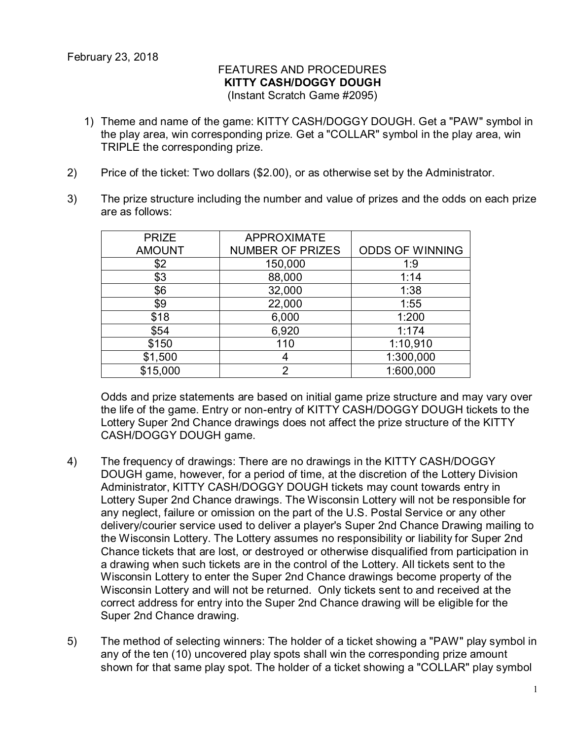## FEATURES AND PROCEDURES **KITTY CASH/DOGGY DOUGH** (Instant Scratch Game #2095)

- 1) Theme and name of the game: KITTY CASH/DOGGY DOUGH. Get a "PAW" symbol in the play area, win corresponding prize. Get a "COLLAR" symbol in the play area, win TRIPLE the corresponding prize.
- 2) Price of the ticket: Two dollars (\$2.00), or as otherwise set by the Administrator.
- 3) The prize structure including the number and value of prizes and the odds on each prize are as follows:

| <b>PRIZE</b>  | <b>APPROXIMATE</b>      |                        |
|---------------|-------------------------|------------------------|
| <b>AMOUNT</b> | <b>NUMBER OF PRIZES</b> | <b>ODDS OF WINNING</b> |
| \$2           | 150,000                 | 1:9                    |
| \$3           | 88,000                  | 1:14                   |
| \$6           | 32,000                  | 1:38                   |
| \$9           | 22,000                  | 1:55                   |
| \$18          | 6,000                   | 1:200                  |
| \$54          | 6,920                   | 1:174                  |
| \$150         | 110                     | 1:10,910               |
| \$1,500       |                         | 1:300,000              |
| \$15,000      | 2                       | 1:600,000              |

Odds and prize statements are based on initial game prize structure and may vary over the life of the game. Entry or non-entry of KITTY CASH/DOGGY DOUGH tickets to the Lottery Super 2nd Chance drawings does not affect the prize structure of the KITTY CASH/DOGGY DOUGH game.

- 4) The frequency of drawings: There are no drawings in the KITTY CASH/DOGGY DOUGH game, however, for a period of time, at the discretion of the Lottery Division Administrator, KITTY CASH/DOGGY DOUGH tickets may count towards entry in Lottery Super 2nd Chance drawings. The Wisconsin Lottery will not be responsible for any neglect, failure or omission on the part of the U.S. Postal Service or any other delivery/courier service used to deliver a player's Super 2nd Chance Drawing mailing to the Wisconsin Lottery. The Lottery assumes no responsibility or liability for Super 2nd Chance tickets that are lost, or destroyed or otherwise disqualified from participation in a drawing when such tickets are in the control of the Lottery. All tickets sent to the Wisconsin Lottery to enter the Super 2nd Chance drawings become property of the Wisconsin Lottery and will not be returned. Only tickets sent to and received at the correct address for entry into the Super 2nd Chance drawing will be eligible for the Super 2nd Chance drawing.
- 5) The method of selecting winners: The holder of a ticket showing a "PAW" play symbol in any of the ten (10) uncovered play spots shall win the corresponding prize amount shown for that same play spot. The holder of a ticket showing a "COLLAR" play symbol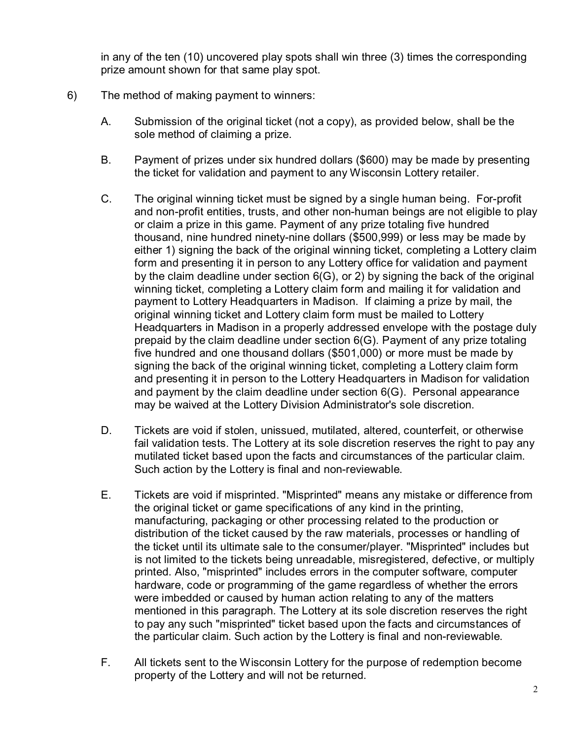in any of the ten (10) uncovered play spots shall win three (3) times the corresponding prize amount shown for that same play spot.

- 6) The method of making payment to winners:
	- A. Submission of the original ticket (not a copy), as provided below, shall be the sole method of claiming a prize.
	- B. Payment of prizes under six hundred dollars (\$600) may be made by presenting the ticket for validation and payment to any Wisconsin Lottery retailer.
	- C. The original winning ticket must be signed by a single human being. For-profit and non-profit entities, trusts, and other non-human beings are not eligible to play or claim a prize in this game. Payment of any prize totaling five hundred thousand, nine hundred ninety-nine dollars (\$500,999) or less may be made by either 1) signing the back of the original winning ticket, completing a Lottery claim form and presenting it in person to any Lottery office for validation and payment by the claim deadline under section 6(G), or 2) by signing the back of the original winning ticket, completing a Lottery claim form and mailing it for validation and payment to Lottery Headquarters in Madison. If claiming a prize by mail, the original winning ticket and Lottery claim form must be mailed to Lottery Headquarters in Madison in a properly addressed envelope with the postage duly prepaid by the claim deadline under section 6(G). Payment of any prize totaling five hundred and one thousand dollars (\$501,000) or more must be made by signing the back of the original winning ticket, completing a Lottery claim form and presenting it in person to the Lottery Headquarters in Madison for validation and payment by the claim deadline under section 6(G). Personal appearance may be waived at the Lottery Division Administrator's sole discretion.
	- D. Tickets are void if stolen, unissued, mutilated, altered, counterfeit, or otherwise fail validation tests. The Lottery at its sole discretion reserves the right to pay any mutilated ticket based upon the facts and circumstances of the particular claim. Such action by the Lottery is final and non-reviewable.
	- E. Tickets are void if misprinted. "Misprinted" means any mistake or difference from the original ticket or game specifications of any kind in the printing, manufacturing, packaging or other processing related to the production or distribution of the ticket caused by the raw materials, processes or handling of the ticket until its ultimate sale to the consumer/player. "Misprinted" includes but is not limited to the tickets being unreadable, misregistered, defective, or multiply printed. Also, "misprinted" includes errors in the computer software, computer hardware, code or programming of the game regardless of whether the errors were imbedded or caused by human action relating to any of the matters mentioned in this paragraph. The Lottery at its sole discretion reserves the right to pay any such "misprinted" ticket based upon the facts and circumstances of the particular claim. Such action by the Lottery is final and non-reviewable.
	- F. All tickets sent to the Wisconsin Lottery for the purpose of redemption become property of the Lottery and will not be returned.